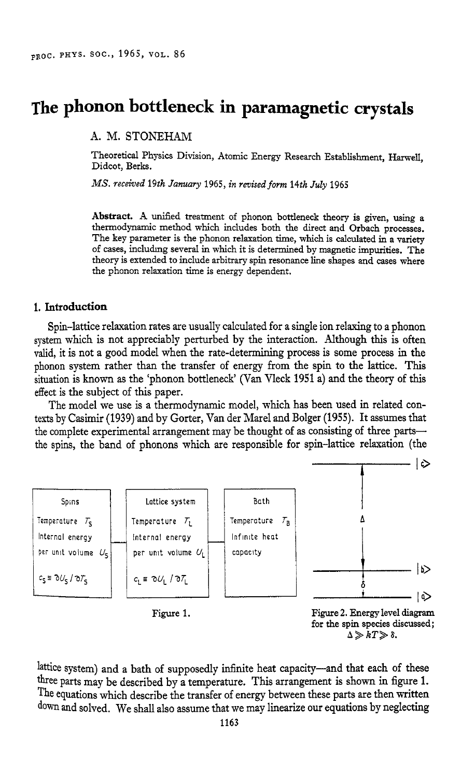# **The phonon bottleneck in paramagnetic crystals**

**A.** M. STONEHAM

Theoretical Physics Division, Atomic Energy Research Establishment, Harwell, Didcot, Berks.

*MS. received* 19th *January* 1965, *in revised form 14th July* 1965

**Abstract. A** unified treatment of phonon bottleneck theory is given, using a thermodynamic method which includes both the direct and Orbach processes. The key parameter is the phonon relaxation time, which is calculated in a variety of **cases,** includmg several in which it is determined by magnetic impurities. The theory is extended to include arbitrary spin resonance line shapes and cases where the phonon relaxation time is energy dependent.

## **1. Introduction**

Spin-lattice relaxation rates are usually calculated for a single ion relaxing to a phonon system which is not appreciably perturbed by the interaction. Although this is often valid, it is not a good model when the rate-determining process is some process in the phonon system rather than the transfer of energy from the spin to the lattice. This situation is known as the 'phonon bottleneck' (Van Vleck 1951 a) and the theory of this effect is the subject of this paper.

The model we use is a thermodynamic model, which has been used in related contexts by Casimir (1939) and by Gorter, Van der Marel **and** Bolger (1955). It assumes that the complete experimental arrangement may be thought of as consisting of three partsthe spins, the band of phonons which are responsible for spin-lattice relaxation (the



 $\Delta \gg kT \gg \delta$ .

lattice system) and a bath of supposedly infinite heat capacity-and that each of these three parts may be described by a temperature. This arrangement is shown in figure 1. The equations which describe the transfer of energy between these parts are then written down and solved. We shall also assume that we may linearize our equations by neglecting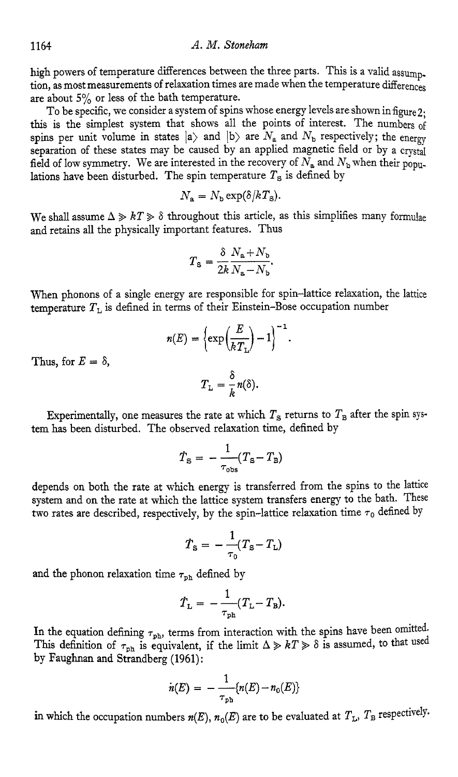high powers of temperature differences between the three parts. This is a valid assump. tion, as most measurements of relaxation times are made when the temperature differences are about *5%* or less of the bath temperature.

To be specific, we consider a system of spins whose energy levels are shown in figure 2: this is the simplest system that shows all the points of interest. The numbers of spins per unit volume in states  $|a\rangle$  and  $|b\rangle$  are  $N_a$  and  $N_b$  respectively; the energy separation of these states may be caused by an applied magnetic field or by a crystal field of low symmetry. We are interested in the recovery of  $N_a$  and  $N_b$  when their populations have been disturbed. The spin temperature *Ts* is defined by

$$
N_{\rm a}=N_{\rm b}\exp(\delta/kT_{\rm s}).
$$

We shall assume  $\Delta \gg kT \gg \delta$  throughout this article, as this simplifies many formulae and retains all the physically important features. Thus

$$
T_{\rm s} = \frac{\delta}{2k} \frac{N_{\rm a} + N_{\rm b}}{N_{\rm a} - N_{\rm b}}.
$$

When phonons of a single energy are responsible for spin-lattice relaxation, the lattice temperature  $T<sub>1</sub>$  is defined in terms of their Einstein-Bose occupation number

$$
n(E) = \left\{ \exp\left(\frac{E}{kT_{\rm L}}\right) - 1 \right\}^{-1}.
$$

Thus, for  $E = \delta$ ,

$$
T_{\mathcal{L}}=\frac{\delta}{k}n(\delta).
$$

Experimentally, one measures the rate at which  $T<sub>S</sub>$  returns to  $T<sub>B</sub>$  after the spin system **has** been disturbed. The observed relaxation time, defined by

$$
\dot{T}_{\rm S} = -\frac{1}{\tau_{\rm obs}} (T_{\rm S} - T_{\rm B})
$$

depends on both the rate at which energy is transferred from the spins to the lattice system and on the rate at which the lattice system transfers energy to the bath. These two rates are described, respectively, by the spin-lattice relaxation time  $\tau_0$  defined by

$$
\dot{T}_{\rm s} = -\frac{1}{\tau_0}(T_{\rm s} - T_{\rm L})
$$

and the phonon relaxation time  $\tau_{ph}$  defined by

$$
T_{\rm L} = -\frac{1}{\tau_{\rm ph}} (T_{\rm L} - T_{\rm B}).
$$

In the equation defining  $\tau_{\rm ph}$ , terms from interaction with the spins have been omitted. This definition of  $\tau_{\text{ph}}$  is equivalent, if the limit  $\Delta \gg kT \gg \delta$  is assumed, to that used by Faughnan and Strandberg (1961) :

$$
n(E) = -\frac{1}{\tau_{\rm ph}} \{n(E) - n_0(E)\}
$$

in which the occupation numbers  $n(E)$ ,  $n_0(E)$  are to be evaluated at  $T_L$ ,  $T_B$  respectively.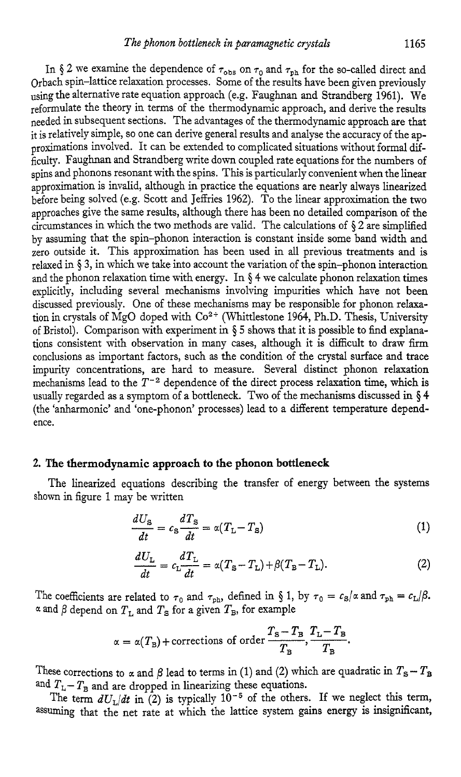In  $\S 2$  we examine the dependence of  $\tau_{\text{obs}}$  on  $\tau_0$  and  $\tau_{\text{ph}}$  for the so-called direct and Orbach spin-lattice relaxation processes. Some of the results have been given previously using the alternative rate equation approach (e.g. Faughnan and Strandberg 1961). We reformulate the theory in terms of the thermodynamic approach, and derive the results needed in subsequent sections. The advantages of the thermodynamic approach are that it is relatively simple, so one can derive general results and analyse the accuracy of the approximations involved. It can be extended to complicated situations without formal difficulty. Faughnan and Strandberg write down coupled rate equations for the numbers of spins and phonons resonant with the spins. This is particularly convenient when the linear approximation is invalid, although in practice the equations are nearly always linearized before being solved (e.g. Scott and Jeffries 1962). To the linear approximation the two approaches give the same results, although there has been no detailed comparison of the circumstances in which the two methods are valid. The calculations of **\$2** are simplified by assuming that the spin-phonon interaction is constant inside some band width and zero outside it. This approximation has been used in all previous treatments and is relaxed in **\$3,** in which we take into account the variation of the spin-phonon interaction and the phonon relaxation time with energy. In **5** 4 we calculate phonon relaxation times explicitly, including several mechanisms involving impurities which have not been discussed previously. One of these mechanisms may be responsible for phonon relaxation in crystals of MgO doped with Co<sup>2+</sup> (Whittlestone 1964, Ph.D. Thesis, University of Bristol). Comparison with experiment in \$ *5* shows that it is possible to find explanations consistent with observation in many cases, although it is difficult to draw firm conclusions as important factors, such as the condition of the crystal surface and trace impurity concentrations, are hard to measure. Several distinct phonon relaxation mechanisms lead to the  $T^{-2}$  dependence of the direct process relaxation time, which is usually regarded as a symptom of a bottleneck. Two of the mechanisms discussed in **9 4**  (the 'anharmonic' and 'one-phonon' processes) lead to a different temperature dependence.

#### **2. The thermodynamic approach to the phonon bottleneck**

shown in figure 1 may be written The linearized equations describing the transfer of energy between the systems

$$
\frac{dU_{\rm s}}{dt} = c_{\rm s} \frac{dT_{\rm s}}{dt} = \alpha (T_{\rm L} - T_{\rm s}) \tag{1}
$$

$$
\frac{dU_{\rm L}}{dt} = c_{\rm L} \frac{dT_{\rm L}}{dt} = \alpha (T_{\rm S} - T_{\rm L}) + \beta (T_{\rm B} - T_{\rm L}).\tag{2}
$$

The coefficients are related to  $\tau_0$  and  $\tau_{ph}$ , defined in § 1, by  $\tau_0 = c_s/\alpha$  and  $\tau_{ph} = c_L/\beta$ .  $\alpha$  and  $\beta$  depend on  $T_L$  and  $T_S$  for a given  $T_B$ , for example

$$
\alpha = \alpha(T_{\rm B}) + \text{corrections of order} \, \frac{T_{\rm S} - T_{\rm B}}{T_{\rm B}}, \frac{T_{\rm L} - T_{\rm B}}{T_{\rm B}}.
$$

These corrections to  $\alpha$  and  $\beta$  lead to terms in (1) and (2) which are quadratic in  $T_s - T_B$ and  $T_L - T_B$  and are dropped in linearizing these equations.

The term  $dU_L/dt$  in (2) is typically  $10^{-5}$  of the others. If we neglect this term, assuming that the net rate at which the lattice system gains energy is insignificant,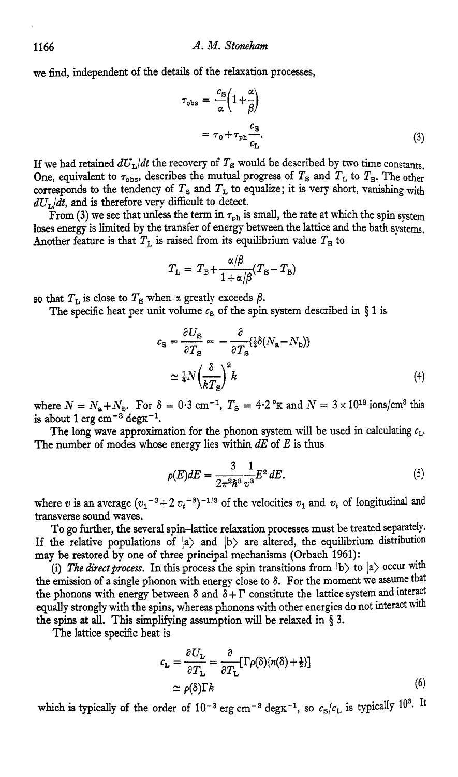we find, independent of the details of the relaxation processes,

$$
\tau_{\text{obs}} = \frac{c_{\text{s}}}{\alpha} \left( 1 + \frac{\alpha}{\beta} \right)
$$

$$
= \tau_0 + \tau_{\text{ph}} \frac{c_{\text{s}}}{c_{\text{L}}}.
$$
(3)

If we had retained  $dU_L/dt$  the recovery of  $T_s$  would be described by two time constants. One, equivalent to  $\tau_{\text{obs}}$ , describes the mutual progress of  $T_{\text{S}}$  and  $T_{\text{L}}$  to  $T_{\text{B}}$ . The other corresponds to the tendency of  $T_s$  and  $T_L$  to equalize; it is very short, vanishing with  $dU_L/dt$ , and is therefore very difficult to detect.

From (3) we see that unless the term in  $\tau_{\rm ph}$  is small, the rate at which the spin system loses energy is limited by the transfer of energy between the lattice and the bath systems. Another feature is that  $T<sub>L</sub>$  is raised from its equilibrium value  $T<sub>B</sub>$  to

$$
T_{\rm L} = T_{\rm B} + \frac{\alpha/\beta}{1+\alpha/\beta}(T_{\rm S} - T_{\rm B})
$$

so that  $T<sub>L</sub>$  is close to  $T<sub>S</sub>$  when  $\alpha$  greatly exceeds  $\beta$ .

The specific heat per unit volume  $c<sub>s</sub>$  of the spin system described in § 1 is

$$
c_{\rm s} = \frac{\partial U_{\rm s}}{\partial T_{\rm s}} = -\frac{\partial}{\partial T_{\rm s}} \{ {\frac{1}{2}} \delta (N_{\rm a} - N_{\rm b}) \}
$$

$$
\simeq {\frac{1}{4}} N \left( \frac{\delta}{k T_{\rm s}} \right)^2 k \tag{4}
$$

where  $N = N_a + N_b$ . For  $\delta = 0.3$  cm<sup>-1</sup>,  $T_s = 4.2$  °K and  $N = 3 \times 10^{18}$  ions/cm<sup>3</sup> this is about 1 erg cm<sup>-3</sup> degK<sup>-1</sup>.<br>The long wave approximation for the phonon system will be used in calculating  $c_L$ .<br>The number of mod is about 1 erg  $cm^{-3}$  deg $K^{-1}$ .

The number of modes whose energy lies within *dE* of *E* is thus The long wave approximation for the phonon system will be used in calculating  $c_L$ .

$$
\rho(E)dE = \frac{3}{2\pi^2\hbar^3} \frac{1}{v^3} E^2 dE.
$$
 (5)

where *v* is an average  $(v_1{}^{-3}+2 v_1{}^{-3})^{-1/3}$  of the velocities  $v_1$  and  $v_t$  of longitudinal and transverse sound waves.

To go further, the several spin-lattice relaxation processes must be treated separately. If the relative populations of  $|a\rangle$  and  $|b\rangle$  are altered, the equilibrium distribution **may** be restored by one of three principal mechanisms (Orbach 1961):

(i) The direct process. In this process the spin transitions from  $|b\rangle$  to  $|a\rangle$  occur with the emission of a single phonon with energy close to 6. For the moment we assume that the phonons with energy between  $\delta$  and  $\tilde{\delta} + \Gamma$  constitute the lattice system and interact equally strongly with the spins, whereas phonons with other energies do not interact with the spins at **all.** This simplifying assumption will be relaxed in *5* 3.

The lattice specific heat is

$$
c_{\mathbf{L}} = \frac{\partial U_{\mathbf{L}}}{\partial T_{\mathbf{L}}} = \frac{\partial}{\partial T_{\mathbf{L}}} [\Gamma \rho(\delta) \{n(\delta) + \frac{1}{2}\}]
$$
  
\n
$$
\simeq \rho(\delta) \Gamma k
$$
 (6)

which is typically of the order of  $10^{-3}$  erg cm<sup>-3</sup> deg K<sup>-1</sup>, so  $c_S/c_L$  is typically 10<sup>3</sup>. It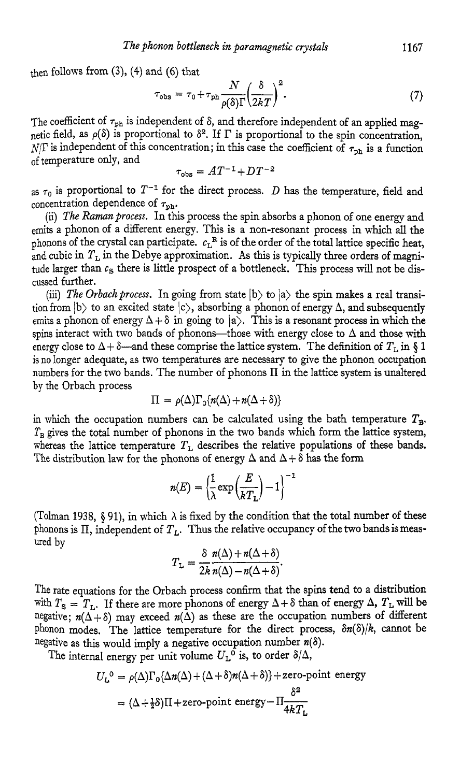then follows from **(3),** (4) and (6) that

onon bottleneck in paramagnetic crystals

\n
$$
1167
$$
\nand (6) that

\n
$$
\tau_{\text{obs}} = \tau_0 + \tau_{\text{ph}} \frac{N}{\rho(\delta)\Gamma} \left(\frac{\delta}{2k}\right)^2.
$$
\n(7)

The coefficient of  $\tau_{ph}$  is independent of  $\delta$ , and therefore independent of an applied magnetic field, as  $\rho(\delta)$  is proportional to  $\delta^2$ . If  $\Gamma$  is proportional to the spin concentration, N/ $\Gamma$  is independent of this concentration; in this case the coefficient of  $\tau_{\text{ph}}$  is a function of temperature only, and

$$
\tau_{\rm obs} = AT^{-1} + DT^{-2}
$$

as  $\tau_0$  is proportional to  $T^{-1}$  for the direct process. D has the temperature, field and concentration dependence of  $\tau_{\rm ph}$ .

(ii) *The Raman process.* In this process the spin absorbs a phonon of one energy and emits a phonon of a different energy. This is a non-resonant process in which **all** the phonons of the crystal can participate.  $c_L^R$  is of the order of the total lattice specific heat, and cubic in  $T_L$  in the Debye approximation. As this is typically three orders of magnitude larger than  $c_S$  there is little prospect of a bottleneck. This process will not be discussed further.

(iii) *The Orbach process.* In going from state  $|b\rangle$  to  $|a\rangle$  the spin makes a real transition from  $|b\rangle$  to an excited state  $|c\rangle$ , absorbing a phonon of energy  $\Delta$ , and subsequently emits a phonon of energy  $\Delta + \delta$  in going to  $|a\rangle$ . This is a resonant process in which the spins interact with two bands of phonons-those with energy close to  $\Delta$  and those with energy close to  $\Delta + \delta$ —and these comprise the lattice system. The definition of  $T_L$  in § 1 is no longer adequate, as two temperatures are necessary to give the phonon occupation numbers for the two bands. The number of phonons **II** in the lattice system is unaltered by the Orbach process

$$
\Pi = \rho(\Delta)\Gamma_0\{n(\Delta)+n(\Delta+\delta)\}
$$

in which the occupation numbers can be calculated using the bath temperature  $T_{\text{B}}$ .  $T_B$  gives the total number of phonons in the two bands which form the lattice system, whereas the lattice temperature  $T_L$  describes the relative populations of these bands.<br>The distribution law for the phonons of energy  $\Delta$  and  $\Delta + \delta$  has the form<br> $n(E) = \left(\frac{1}{\lambda} \exp\left(\frac{E}{kT_L}\right) - 1\right)^{-1}$ The distribution law for the phonons of energy  $\Delta$  and  $\Delta + \delta$  has the form

$$
n(E) = \left(\frac{1}{\lambda} \exp\left(\frac{E}{kT_L}\right) - 1\right)^{-1}
$$

(Tolman 1938,  $\S$  91), in which  $\lambda$  is fixed by the condition that the total number of these phonons is  $\Pi$ , independent of  $T_L$ . Thus the relative occupancy of the two bands is measured by  $\delta n(\Delta) + n(\Delta + \delta)$ 

$$
T_{\mathcal{L}} = \frac{\delta n(\Delta) + n(\Delta + \delta)}{2k n(\Delta) - n(\Delta + \delta)}.
$$

The rate equations for the Orbach process confirm that the spins tend to a distribution with  $T_s = T_L$ . If there are more phonons of energy  $\Delta + \delta$  than of energy  $\Delta$ ,  $T_L$  will be negative;  $n(\Delta + \delta)$  may exceed  $n(\Delta)$  as these are the occupation numbers of different Phonon modes. The lattice temperature for the direct process, *Sn(S)/k,* cannot be negative as this would imply a negative occupation number *n(6).* 

The internal energy per unit volume  $U_{\text{L}}^{\text{o}}$  is, to order  $\delta/\Delta$ ,

$$
U_{\rm L}^{0} = \rho(\Delta)\Gamma_{0}\{\Delta n(\Delta) + (\Delta + \delta)n(\Delta + \delta)\} + \text{zero-point energy}
$$

$$
= (\Delta + \frac{1}{2}\delta)\Pi + \text{zero-point energy} - \Pi\frac{\delta^{2}}{4kT_{\rm L}}
$$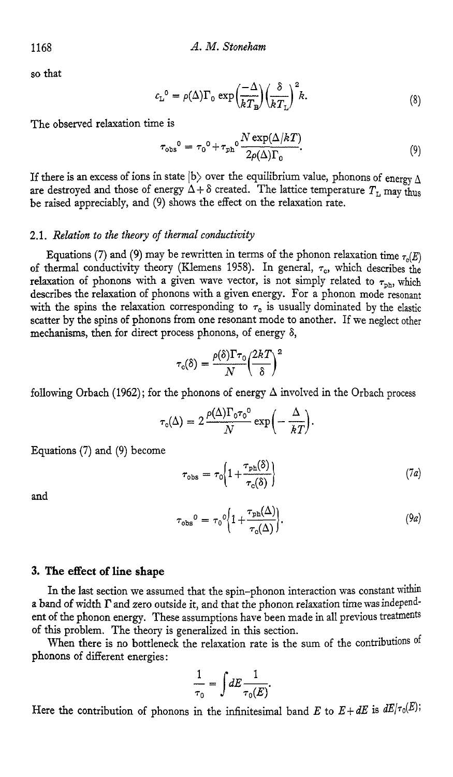so that

A. M. Stoneham  

$$
c_{L}^{0} = \rho(\Delta)\Gamma_{0} \exp\left(\frac{-\Delta}{kT_{B}}\right)\left(\frac{\delta}{kT_{L}}\right)^{2}k.
$$
 (8)

The observed relaxation time is

$$
\tau_{\text{obs}}^0 = \tau_0^0 + \tau_{\text{ph}}^0 \frac{N \exp(\Delta/kT)}{2\rho(\Delta)\Gamma_0}.
$$
\n(9)

If there is an excess of ions in state  $|b\rangle$  over the equilibrium value, phonons of energy  $\Lambda$ are destroyed and those of energy  $\Delta + \delta$  created. The lattice temperature  $T_{\text{t}}$  may thus be raised appreciably, and (9) shows the effect on the relaxation rate.

#### **2.1.** *Relation to the theory of thermal conductivity*

Equations (7) and (9) may be rewritten in terms of the phonon relaxation time  $\tau_o(E)$ of thermal conductivity theory (Klemens 1958). In general,  $\tau_c$ , which describes the or thermal conductivity theory (Kiehlelis 1950). In general,  $\tau_c$ , which describes the relaxation of phonons with a given energy. For a phonon mode resonant with the spins the relaxation corresponding to  $\tau_c$  is usually describes the relaxation of phonons with a given energy. For a phonon mode resonant with the spins the relaxation corresponding to  $\tau_c$  is usually dominated by the elastic scatter by the spins of phonons from one resonant mode to another. If we neglect other mechanisms, then for direct process phonons, of energy  $\delta$ ,

$$
\tau_{\text{c}}(\delta) = \frac{\rho(\delta)\Gamma\tau_{\text{o}}}{N} \left(\frac{2kT}{\delta}\right)^2
$$

following Orbach (1962); for the phonons of energy  $\Delta$  involved in the Orbach process

$$
\tau_{\rm c}(\Delta) = 2 \frac{\rho(\Delta) \Gamma_{\rm 0} \tau_{\rm 0}{}^{\rm 0}}{N} \exp\biggl(-\frac{\Delta}{kT}\biggr).
$$

Equations **(7)** and (9) become

$$
\tau_{\rm obs} = \tau_0 \left\{ 1 + \frac{\tau_{\rm ph}(\delta)}{\tau_{\rm c}(\delta)} \right\} \tag{7a}
$$

and

$$
\tau_{\text{obs}}^0 = \tau_0^0 \left\{ 1 + \frac{\tau_{\text{ph}}(\Delta)}{\tau_{\text{c}}(\Delta)} \right\}.
$$
\n(9*a*)

## **3. The effect of line shape**

In the last section we assumed that the spin-phonon interaction was constant within a band of width  $\Gamma$  and zero outside it, and that the phonon relaxation time was independent of the phonon energy. These assumptions have been made in all previous treatments of this problem. The theory is generalized in this section.

When there is no bottleneck the relaxation rate is the sum of the contributions of phonons of different energies :

$$
\frac{1}{\tau_0} = \int dE \frac{1}{\tau_0(E)}.
$$

Here the contribution of phonons in the infinitesimal band *E* to  $E + dE$  is  $dE/\tau_0(E)$ ;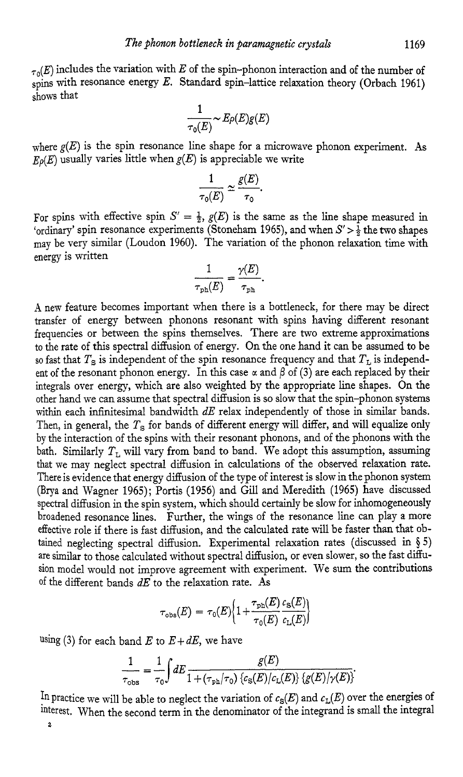$\tau_0(E)$  includes the variation with *E* of the spin-phonon interaction and of the number of spins with resonance energy *E*. Standard spin-lattice relaxation theory (Orbach 1961) shows that

$$
\frac{1}{\tau_0(E)}\!\sim\! E\rho(E)g(E)
$$

where  $g(E)$  is the spin resonance line shape for a microwave phonon experiment. As  $E<sub>0</sub>(E)$  usually varies little when  $g(E)$  is appreciable we write

$$
\frac{1}{\tau_0(E)} \simeq \frac{g(E)}{\tau_0}.
$$

For spins with effective spin  $S' = \frac{1}{2}$ ,  $g(E)$  is the same as the line shape measured in 'ordinary' spin resonance experiments (Stoneham 1965), and when  $S' > \frac{1}{2}$  the two shapes may be very similar (Loudon 1960). The variation of the phonon relaxation time with energy is written

$$
\frac{1}{\tau_{\text{ph}}(E)} = \frac{\gamma(E)}{\tau_{\text{ph}}}.
$$

**A** new feature becomes important when there is a bottleneck, for there may be direct transfer of energy between phonons resonant with spins having different resonant frequencies or between the spins themselves. There are two extreme approximations to the rate of this spectral diffusion of energy. On the one hand it can be assumed to be so fast that  $T_s$  is independent of the spin resonance frequency and that  $T_L$  is independent of the resonant phonon energy. In this case  $\alpha$  and  $\beta$  of (3) are each replaced by their integrals over energy, which are also weighted by the appropriate line shapes. On the other hand we can assume that spectral diffusion is so slow that the spin-phonon systems within each infinitesimal bandwidth *dE* relax independently of those in similar bands. Then, in general, the  $T_s$  for bands of different energy will differ, and will equalize only by the interaction of the spins with their resonant phonons, and of the phonons with the bath. Similarly  $T_L$  will vary from band to band. We adopt this assumption, assuming that we may neglect spectral diffusion in calculations of the observed relaxation rate. There is evidence that energy diffusion of the type of interest is slow in the phonon system (Brya and Wagner 1965); Portis (1956) and Gill and Meredith (1965) have discussed spectral diffusion in the spin system, which should certainly be slow for inhomogeneously broadened resonance lines. Further, the wings of the resonance line can play a more effective role if there is fast diffusion, and the calculated rate will be faster than that obtained neglecting spectral diffusion. Experimental relaxation rates (discussed in § *5)*  are similar to those calculated without spectral diffusion, or even slower, so the fast diffusion model would not improve agreement with experiment. We sum *the* contributions of the different bands *dE* to the relaxation rate. As

$$
\tau_{\rm obs}(E) = \tau_0(E) \Big\{ 1 + \frac{\tau_{\rm ph}(E)}{\tau_0(E)} \frac{c_{\rm S}(E)}{c_{\rm L}(E)} \Big\}
$$

using (3) for each band  $E$  to  $E+dE$ , we have

$$
\frac{1}{\tau_{\rm obs}} = \frac{1}{\tau_0} \int dE \frac{g(E)}{1 + (\tau_{\rm ph}/\tau_0) \left\{c_{\rm S}(E)/c_{\rm L}(E)\right\} \left\{g(E)/\gamma(E)\right\}}
$$

In practice we will be able to neglect the variation of  $c_S(E)$  and  $c_L(E)$  over the energies of interest. When the second term in the denominator of the integrand is small the integral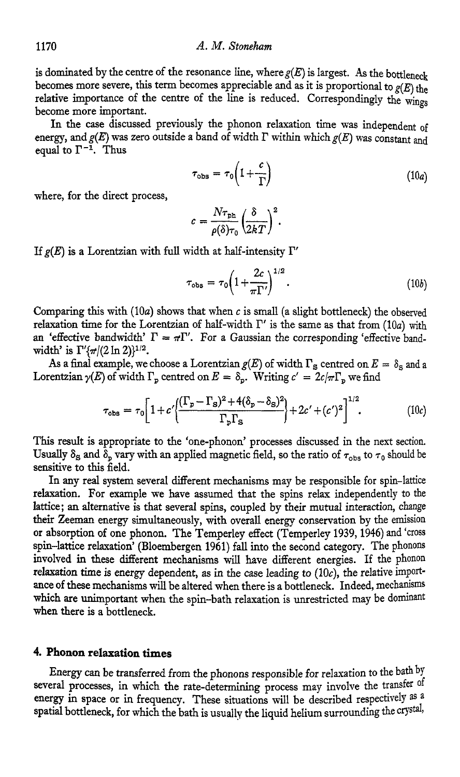is dominated by the centre of the resonance line, where  $g(E)$  is largest. As the bottleneck becomes more severe, this term becomes appreciable and as it is proportional to  $g(E)$  the relative importance of the centre of the line is reduced. Correspondingly the wings become more important.

In the case discussed previously the phonon relaxation time was independent of energy, and  $g(E)$  was zero outside a band of width  $\Gamma$  within which  $g(E)$  was constant and equal to  $\Gamma^{-1}$ . Thus

$$
\tau_{\rm obs} = \tau_0 \left( 1 + \frac{c}{\Gamma} \right) \tag{10a}
$$

where, for the direct process,

$$
c = \frac{N\tau_{\rm ph}}{\rho(\delta)\tau_0} \left(\frac{\delta}{2kT}\right)^2.
$$

If  $g(E)$  is a Lorentzian with full width at half-intensity  $\Gamma'$ 

$$
\tau_{\rm obs} = \tau_0 \left( 1 + \frac{2c}{\pi \Gamma'} \right)^{1/2} . \tag{10b}
$$

Comparing **this** with **(loa)** shows that when *c* is small (a slight bottleneck) the observed relaxation time for the Lorentzian of half-width  $\Gamma'$  is the same as that from  $(10a)$  with an 'effective bandwidth'  $\Gamma = \pi \Gamma'$ . For a Gaussian the corresponding 'effective bandwidth' is  $\Gamma'(\pi/(2 \ln 2))^{1/2}$ .

As a final example, we choose a Lorentzian  $g(E)$  of width  $\Gamma_{\rm S}$  centred on  $E = \delta_{\rm S}$  and a Lorentzian  $\gamma(E)$  of width  $\Gamma_p$  centred on  $E = \delta_p$ . Writing  $c' = 2c/\pi\Gamma_p$  we find

$$
\tau_{\rm obs} = \tau_0 \bigg[ 1 + c' \bigg( \frac{(\Gamma_p - \Gamma_s)^2 + 4(\delta_p - \delta_s)^2}{\Gamma_p \Gamma_s} \bigg) + 2c' + (c')^2 \bigg]^{1/2} . \tag{10c}
$$

This result is appropriate to the 'one-phonon' processes discussed in the next section. Usually  $\delta_S$  and  $\delta_p$  vary with an applied magnetic field, so the ratio of  $\tau_{obs}$  to  $\tau_0$  should be sensitive to **this** field.

In any real system several different mechanisms may be responsible for spin-lattice relaxation. For example we have assumed that the spins relax independently to the lattice; an alternative is that several spins, coupled by their mutual interaction, change their Zeeman energy simultaneously, with overall energy conservation by the emission or absorption of one phonon. The Temperley effect (Temperley **1939,1946)** and 'cross spin-lattice relaxation' (Bloembergen **1961)** fall into the second category. The phonons involved in these different mechanisms will have different energies. If the phonon relaxation time is energy dependent, as in the case leading to  $(10c)$ , the relative importance of these mechanisms will be altered when there is a bottleneck. Indeed, mechanisms which are unimportant when the spin-bath relaxation is unrestricted may be dominant when there is a bottleneck.

## **4. Phonon relaxation times**

Energy can be transferred from the phonons responsible for relaxation *to* the bath by several processes, in which the rate-determining process may involve the transfer of energy in space or in frequency. These situations will be described respectively as a spatial bottleneck, for which the bath is usually the liquid helium surrounding the crystal,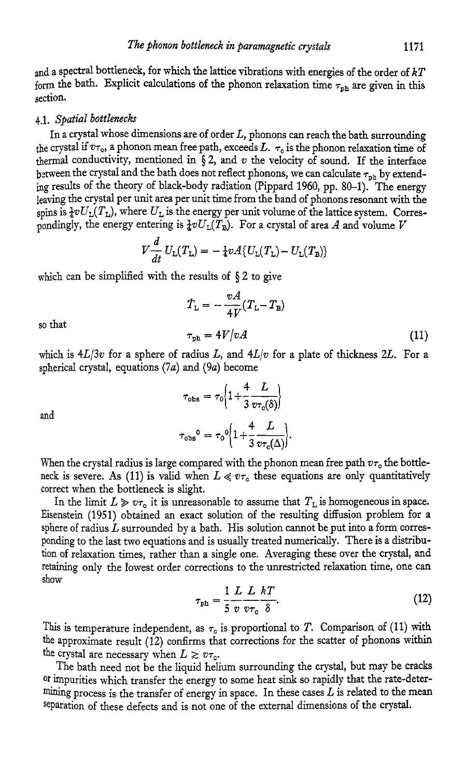and a spectral bottleneck, for which the lattice vibrations with energies of the order of  $kT$ form the bath. Explicit calculations of the phonon relaxation time  $\tau_{\rm ph}$  are given in this section.

## **4.1.** *Spatial bottlenecks*

In a crystal whose dimensions are of order *L,* phonons can reach the bath surrounding the crystal if  $v_{\tau_o}$ , a phonon mean free path, exceeds  $L$ .  $\tau_o$  is the phonon relaxation time of thermal conductivity, mentioned in  $\S 2$ , and  $v$  the velocity of sound. If the interface between the crystal and the bath does not reflect phonons, we can calculate  $\tau_{\rm ph}$  by extending results of the theory of black-body radiation (Pippard *1960,* pp. 80-1). The energy leaving the crystal per unit area per unit time from the band of phonons resonant with the spins is  $\frac{1}{4}vU_L(T_L)$ , where  $U_L$  is the energy per unit volume of the lattice system. Correspondingly, the energy entering is  $\frac{1}{4}vU_L(T_B)$ . For a crystal of area *A* and volume *V* 

$$
V\frac{d}{dt}U_{\rm L}(T_{\rm L})=-\frac{1}{4}vA\{U_{\rm L}(T_{\rm L})-U_{\rm L}(T_{\rm B})\}
$$

which can be simplified with the results of  $\S 2$  to give

$$
\dot{T}_{\rm L} = -\frac{vA}{4V}(T_{\rm L} - T_{\rm B})
$$

so that

which is  $4L/3v$  for a sphere of radius *L*, and  $4L/v$  for a plate of thickness 2*L*. For a spherical crystal, equations *(7u)* and *(9a)* become

 $\tau_{\rm ph} = 4V/vA$ 

$$
\tau_{\text{obs}} = \tau_0 \left\{ 1 + \frac{4}{3} \frac{L}{v \tau_0(\delta)} \right\}
$$

$$
\tau_{\text{obs}}{}^0 = \tau_0{}^0 \left\{ 1 + \frac{4}{3} \frac{L}{v \tau_0(\Delta)} \right\}
$$

**and** 

When the crystal radius is large compared with the phonon mean free path  $v_{\tau_c}$  the bottleneck is severe. As (11) is valid when  $L \ll v\tau_c$  these equations are only quantitatively correct when the bottleneck is slight.

In the limit  $L \gg v\tau_0$  it is unreasonable to assume that  $T_L$  is homogeneous in space. Eisenstein (1951) obtained an exact solution of the resulting diffusion problem for a sphere of radius *L* surrounded by a bath. His solution cannot be put into a form corresponding to the last two equations and is usually treated numerically. There is a distribution of relaxation times, rather than a single one. Averaging these over the crystal, and retaining only the lowest order corrections to the unrestricted relaxation time, one can show

$$
\tau_{\rm ph} = \frac{1}{5} \frac{L}{v} \frac{L}{v \tau_{\rm c}} \frac{kT}{\delta}.
$$
\n(12)

This is temperature independent, as  $\tau_0$  is proportional to *T*. Comparison of (11) with the approximate result *(12)* confirms that corrections for the scatter of phonons within the crystal are necessary when  $L \geq v\tau_c$ .

The bath need not be the liquid helium surrounding the crystal, but may be cracks **Or** impurities which transfer the energy to some heat sink so rapidly that the rate-determining process is the transfer of energy in space. In these cases  $L$  is related to the mean separation of these defects and is not one of the external dimensions of the crystal.

 $(11)$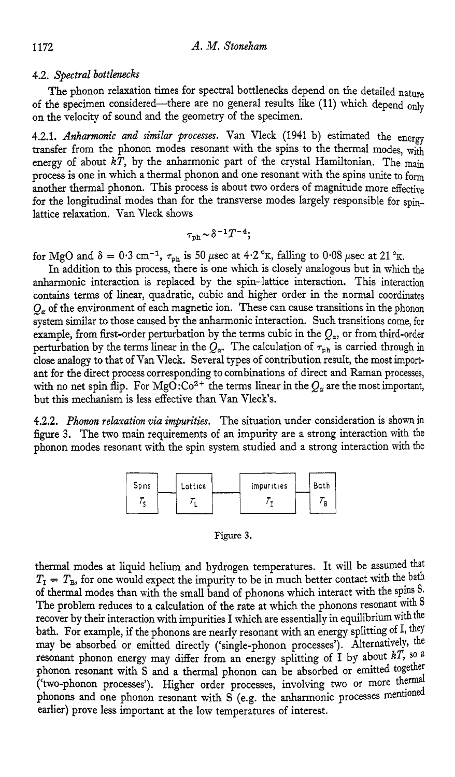## **4.2.** *Spectral bottlenecks*

of the specimen considered-there are no general results like (11) which depend only on the velocity of sound and the geometry of the specimen. The phonon relaxation times for spectral bottlenecks depend on the detailed nature

4.2.1. *Anharmonic and similar processes*. Van Vleck (1941 b) estimated the energy transfer from the phonon modes resonant with the spins to the thermal modes, with energy of about  $k\tilde{T}$ , by the anharmonic part of the crystal Hamiltonian. The main process is one in which a thermal phonon and one resonant with the spins unite to form another thermal phonon. This process is about two orders of magnitude more effective for the longitudinal modes than for the transverse modes largely responsible for spinlattice relaxation. Van Vleck shows

$$
\tau_{\rm ph}\!\sim\!\delta^{-1}T^{-4};
$$

for MgO and  $\delta = 0.3$  cm<sup>-1</sup>,  $\tau_{\text{ph}}$  is 50 *psec* at 4.2 °K, falling to 0.08 *psec* at 21 °K.

In addition to this process, there is one which is closely analogous but in which the anharmonic interaction is replaced by the spin-lattice interaction. This interaction contains terms of linear, quadratic, cubic and higher order in the normal coordinates  $Q_a$  of the environment of each magnetic ion. These can cause transitions in the phonon system **similar** to those caused by the anharmonic interzction. Such transitions come, for example, from first-order perturbation by the terms cubic in the  $Q_{\alpha}$ , or from third-order perturbation by the terms linear in the  $Q_\alpha$ . The calculation of  $\tau_{\rm ph}$  is carried through in close analogy to that of Van Vleck. Several types of contribution result, the most important for the direct process corresponding to combinations of direct and Raman processes, with no net spin flip. For MgO: $Co^{2+}$  the terms linear in the  $Q_{\alpha}$  are the most important, but this mechanism is less effective than Van Vleck's.

**4.2.2.** *Phonon relaxation via impurities.* The situation under consideration is shown in figure **3.** The two main requirements of **an** impurity are a strong interaction with the phonon modes resonant with the spin system studied and a strong interaction with the



Figure **3.** 

thermal modes at liquid helium and hydrogen temperatures. It will be assumed that  $T<sub>I</sub> = T<sub>B</sub>$ , for one would expect the impurity to be in much better contact with the bath of thermal modes than with the small band of phonons which interact with the spins S. The problem reduces to a calculation of the rate at which the phonons resonant with S recover by their interaction with impurities I which are essentially in equilibrium with the bath. For example, if the phonons are nearly resonant with an energy splitting of 1, they may be absorbed or emitted directly ('single-phonon processes'). Alternatively, the resonant phonon energy may differ from an energy splitting of I by about *kT,* so <sup>a</sup> phonon resonant with S and a thermal phonon can be absorbed or emitted together ('two-phonon processes'). Higher order processes, involving two or more themd phonons and one phonon resonant with *S* (e.g. the anharmonic processes mentioned earlier) prove less important at the low temperatures of interest.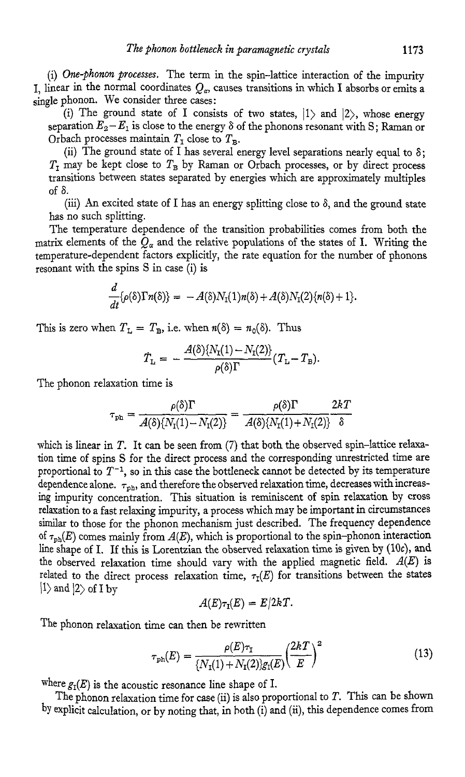(i) *One-phonon processes.* The term in the spin-lattice interaction of the impurity I. linear in the normal coordinates  $Q_{\alpha}$ , causes transitions in which I absorbs or emits a single phonon. We consider three cases:

(i) The ground state of I consists of two states,  $|1\rangle$  and  $|2\rangle$ , whose energy separation  $E_2 - E_1$  is close to the energy  $\delta$  of the phonons resonant with S; Raman or Orbach processes maintain  $T<sub>T</sub>$  close to  $T<sub>B</sub>$ .

(ii) The ground state of I has several energy level separations nearly equal to  $\delta$ ;  $T<sub>I</sub>$  may be kept close to  $T<sub>B</sub>$  by Raman or Orbach processes, or by direct process transitions between states separated by energies which are approximately multiples of *S.* 

(iii) An excited state of I has an energy splitting close to  $\delta$ , and the ground state has no such splitting.

The temperature dependence of the transition probabilities comes from both the matrix elements of the  $Q_{\alpha}$  and the relative populations of the states of I. Writing the temperature-dependent factors explicitly, the rate equation for the number of phonons resonant with the spins S in case (i) is

$$
\frac{d}{dt}\{\rho(\delta)\Gamma n(\delta)\} = -A(\delta)N_1(1)n(\delta) + A(\delta)N_1(2)\{n(\delta) + 1\}.
$$

This is zero when  $T_{\text{L}} = T_{\text{B}}$ , i.e. when  $n(\delta) = n_0(\delta)$ . Thus

$$
\dot{T}_{\rm L} = -\frac{A(\delta)\{N_{\rm I}(1)-N_{\rm I}(2)\}}{\rho(\delta)\Gamma}(T_{\rm L}-T_{\rm B}).
$$

The phonon relaxation time is

$$
\tau_{\text{ph}} = \frac{\rho(\delta)\Gamma}{A(\delta)\{N_{\text{I}}(1) - N_{\text{I}}(2)\}} = \frac{\rho(\delta)\Gamma}{A(\delta)\{N_{\text{I}}(1) + N_{\text{I}}(2)\}} \frac{2kT}{\delta}
$$

which is linear in *T.* It can be seen from *(7)* that both the observed spin-lattice relaxation time of spins S for the direct process and the corresponding unrestricted time are proportional to  $T^{-1}$ , so in this case the bottleneck cannot be detected by its temperature dependence alone.  $\tau_{\rm ph}$ , and therefore the observed relaxation time, decreases with increasing impurity concentration. This situation is reminiscent of spin relaxation by cross relaxation to a fast relaxing impurity, a process which may be important in circumstances similar to those for the phonon mechanism just described. The frequency dependence of  $\tau_{ph}(E)$  comes mainly from  $A(E)$ , which is proportional to the spin-phonon interaction line shape of I. If this is Lorentzian the observed relaxation time is given by (10c), and the observed relaxation time should vary with the applied magnetic field. *A(E)* is related to the direct process relaxation time,  $\tau_I(E)$  for transitions between the states  $|1\rangle$  and  $|2\rangle$  of I by

$$
A(E)\tau_{\rm I}(E)=E/2kT.
$$

The phonon relaxation time can then be rewritten

$$
\tau_{\rm ph}(E) = \frac{\rho(E)\tau_{\rm T}}{\{N_{\rm T}(1) + N_{\rm T}(2)\}g_{\rm T}(E)} \left(\frac{2k}{E}\right)^2 \tag{13}
$$

where  $g_I(E)$  is the acoustic resonance line shape of I.

The phonon relaxation time for case (ii) is also proportional to *T.* This can be shown by explicit calculation, or by noting that, in both (i) and **(n),** this dependence comes from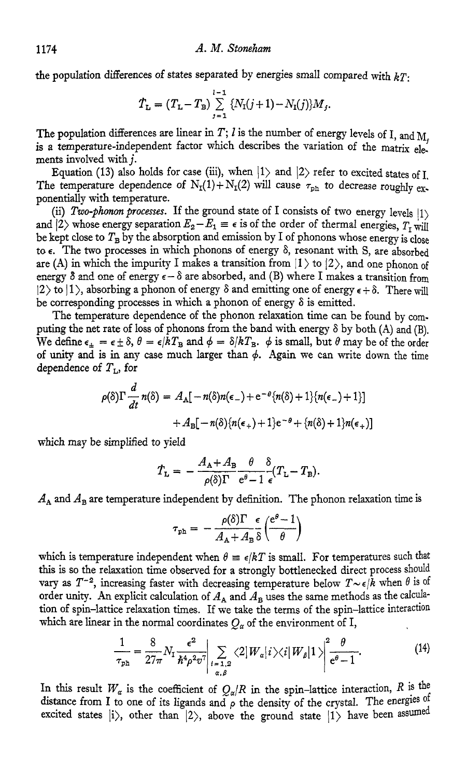the population differences of states separated by energies small compared with *kT:* 

$$
\dot{T}_{\rm L} = (T_{\rm L} - T_{\rm B}) \sum_{j=1}^{l-1} \{ N_{\rm I}(j+1) - N_{\rm I}(j) \} M_j.
$$

The population differences are linear in *T*; *l* is the number of energy levels of I, and  $M_i$  is a temperature-independent factor which describes the variation of the matrix elements involved with *j.* 

Equation (13) also holds for case (iii), when  $|1\rangle$  and  $|2\rangle$  refer to excited states of I. The temperature dependence of  $N_I(1) + N_I(2)$  will cause  $\tau_{ph}$  to decrease roughly exponentially with temperature.

(ii) *Two-phonon processes*. If the ground state of I consists of two energy levels  $|1\rangle$ and  $|2\rangle$  whose energy separation  $E_2 - E_1 \equiv \epsilon$  is of the order of thermal energies,  $T_r$  will be kept close to  $T_B$  by the absorption and emission by I of phonons whose energy is close to *E.* The two processes in which phonons of energy 6, resonant with S, are absorbed are (A) in which the impurity I makes a transition from  $|1\rangle$  to  $|2\rangle$ , and one phonon of energy  $\delta$  and one of energy  $\epsilon - \delta$  are absorbed, and (B) where I makes a transition from 12) **to** 1), absorbing a phonon of energy  $\delta$  and emitting one of energy  $\epsilon + \delta$ . There will be corresponding processes in which a phonon of energy  $\delta$  is emitted.

The temperature dependence of the phonon relaxation time can be found by computing the net rate of **loss** of phonons from the band with energy 6 by both **(A)** and (B). We define  $\epsilon_{\pm} = \epsilon \pm \delta$ ,  $\theta = \epsilon/kT_B$  and  $\phi = \delta/kT_B$ .  $\phi$  is small, but  $\theta$  may be of the order of unity and is in any case much larger than  $\phi$ . Again we can write down the time dependence of *TL,* for

$$
\rho(\delta)\Gamma \frac{d}{dt} n(\delta) = A_{\mathbb{A}}[-n(\delta)n(\epsilon_{-}) + e^{-\theta}\{n(\delta) + 1\}\{n(\epsilon_{-}) + 1\}] + A_{\mathbb{B}}[-n(\delta)\{n(\epsilon_{+}) + 1\}e^{-\theta} + \{n(\delta) + 1\}n(\epsilon_{+})]
$$

which may be simplified to yield

$$
\dot{T}_{\rm L} = -\frac{A_{\rm A} + A_{\rm B}}{\rho(\delta)\Gamma} \frac{\theta}{e^{\theta} - 1} \frac{\delta}{\epsilon} (T_{\rm L} - T_{\rm B}).
$$

 $A_A$  and  $A_B$  are temperature independent by definition. The phonon relaxation time is

$$
\tau_{\rm ph} = -\frac{\rho(\delta)\Gamma}{A_{\rm A}+A_{\rm B}}\frac{\epsilon}{\delta}\left(\frac{e^{\theta}-1}{\theta}\right)
$$

which is temperature independent when  $\theta = \epsilon/kT$  is small. For temperatures such that this is so the relaxation time observed for a strongly bottlenecked direct process should **vary as**  $T^{-2}$ **, increasing faster with decreasing temperature below**  $T \sim \epsilon/\tilde{k}$  **when**  $\theta$  **is of** order unity. An explicit calculation of  $A_A$  and  $A_B$  uses the same methods as the calculation of spin-lattice relaxation times. If we take the terms of the spin-lattice interaction which are linear in the normal coordinates  $Q_{\alpha}$  of the environment of I,

$$
\frac{1}{\tau_{\rm ph}} = \frac{8}{27\pi} N_{\rm T} \frac{\epsilon^2}{\hbar^4 \rho^2 v^7} \Big| \sum_{\substack{i=1,2\\ \alpha,\beta}} \langle 2|W_{\alpha}|i\rangle \langle i|W_{\beta}|1\rangle \Big|^{2} \frac{\theta}{e^{\theta}-1}.
$$
 (14)

In this result  $W_{\alpha}$  is the coefficient of  $Q_{\alpha}/R$  in the spin-lattice interaction, R is the distance from I to one of its ligands and  $\rho$  the density of the crystal. The energies of excited states  $|i\rangle$ , other than  $|2\rangle$ , above the ground state  $|1\rangle$  have been assumed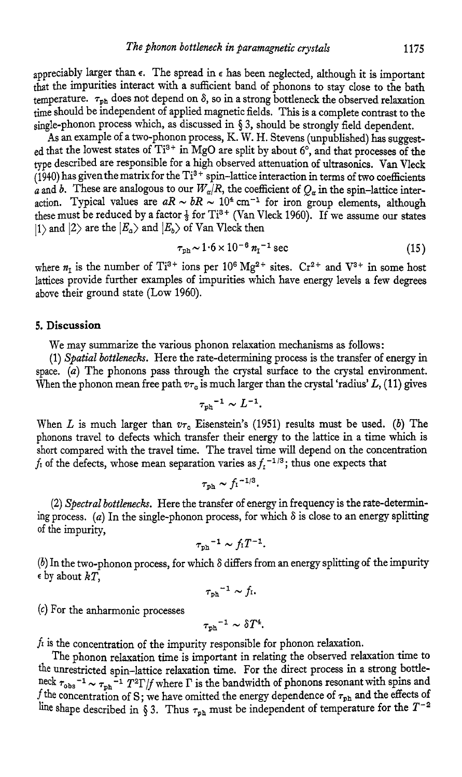appreciably larger than  $\epsilon$ . The spread in  $\epsilon$  has been neglected, although it is important that the impurities interact with a sufficient band of phonons to stay close to the bath temperature.  $\tau_{ph}$  does not depend on  $\delta$ , so in a strong bottleneck the observed relaxation time should be independent of applied magnetic fields. This is a complete contrast to the single-phonon process which, as discussed in **\$3,** should be strongly field dependent,

**As an** example of atwo-phonon process, K. W. H. Stevens (unpublished) **has** suggested that the lowest states of Ti<sup>3+</sup> in MgO are split by about  $6^{\circ}$ , and that processes of the type described are responsible for a high observed attenuation of ultrasonics. Van Vleck  $(1940)$  has given the matrix for the Ti<sup>3+</sup> spin-lattice interaction in terms of two coefficients *a* and *b*. These are analogous to our  $W_a/R$ , the coefficient of  $Q_a$  in the spin-lattice interaction. Typical values are  $aR \sim bR \sim 10^4$  cm<sup>-1</sup> for iron group elements, although these must be reduced by a factor  $\frac{1}{3}$  for Ti<sup>3+</sup> (Van Vleck 1960). If we assume our states  $|1\rangle$  and  $|2\rangle$  are the  $|E_a\rangle$  and  $|E_b\rangle$  of Van Vleck then

$$
\tau_{\rm ph} \sim 1.6 \times 10^{-6} \ n_{\rm I}^{-1} \ {\rm sec} \tag{15}
$$

where  $n_1$  is the number of Ti<sup>3+</sup> ions per 10<sup>6</sup> Mg<sup>2+</sup> sites. Cr<sup>2+</sup> and V<sup>3+</sup> in some host lattices provide further examples of impurities which have energy levels a few degrees above their ground state (LOW 1960).

#### **5. Discussion**

We may summarize the various phonon relaxation mechanisms as follows:

(1) *Spatial bottlenecks*. Here the rate-determining process is the transfer of energy in space. *(a)* The phonons pass through the crystal surface to the crystal environment. When the phonon mean free path  $v_{\tau_0}$  is much larger than the crystal 'radius' L, (11) gives

$$
\tau_{\rm ph}{}^{-1} \sim L^{-1}.
$$

When *L* is much larger than  $v_{\tau_c}$  Eisenstein's (1951) results must be used. *(b)* The phonons travel to defects which transfer their energy to the lattice in a time which is short compared with the travel time. The travel time will depend on the concentration  $f_1$  of the defects, whose mean separation varies as  $f_1$ <sup>-1/3</sup>; thus one expects that

$$
\tau_{\rm ph} \thicksim f_{\rm I}{}^{-1/3}.
$$

*(2) Spectral bottlenecks.* Here the transfer of energy in frequency is the rate-determining process. (*a*) In the single-phonon process, for which  $\delta$  is close to an energy splitting of the impurity,

$$
\tau_{\rm ph}{}^{-1} \sim f_1 T^{-1}.
$$

 $(b)$  In the two-phonon process, for which  $\delta$  differs from an energy splitting of the impurity **<sup>E</sup>**by about *kT,* 

$$
\tau_{\rm ph}^{-1} \sim f_{\rm I}.
$$

*(c)* For the anharmonic processes

$$
{\tau_{\rm ph}}^{-1}\sim \delta T^4.
$$

*fi* is the concentration of the impurity responsible for phonon relaxation.

The phonon relaxation time is important in relating the observed relaxation time to the unrestricted spin-lattice relaxation time. For the direct process in a strong bottleneck  $\tau_{obs}^{-1} \sim \tau_{ph}^{-1} T^2 \Gamma/f$  where  $\Gamma$  is the bandwidth of phonons resonant with spins and *f* the concentration of *S*; we have omitted the energy dependence of  $\tau_{\text{ph}}$  and the effects of line shape described in § 3. Thus  $\tau_{\text{ph}}$  must be independent of temperature for the  $T^{-2}$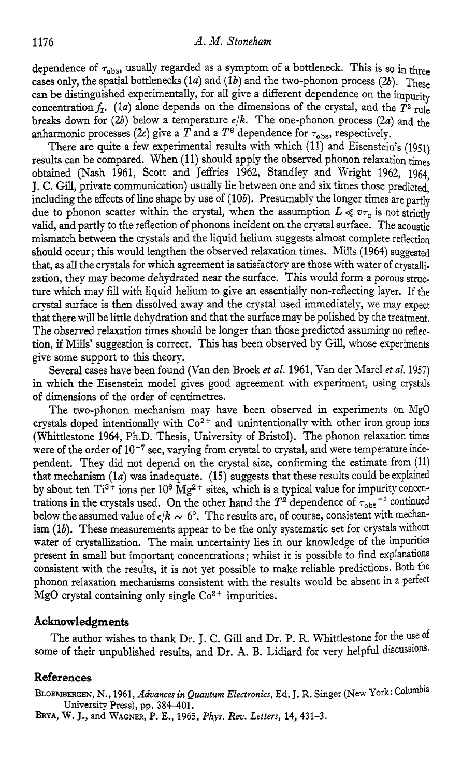dependence of  $\tau_{obs}$ , usually regarded as a symptom of a bottleneck. This is so in three cases only, the spatial bottlenecks  $(1a)$  and  $(1b)$  and the two-phonon process  $(2b)$ . These can be distinguished experimentally, for all give a different dependence on the impurity concentration  $f_1$ . (1*a*) alone depends on the dimensions of the crystal, and the  $\overline{T^2}$  rule breaks down for  $(2b)$  below a temperature  $\epsilon/k$ . The one-phonon process  $(2a)$  and the anharmonic processes (2c) give a  $\overline{T}$  and a  $T^6$  dependence for  $\tau_{\text{obs}}$ , respectively.

There are quite a few experimental results with which (11) and Eisenstein's (1951) results can be compared. When (11) should apply the observed phonon relaxation times obtained (Nash 1961, Scott and Jeffries 1962, Standley and Wright 1962, 1964, J. C. Gill, private communication) usually lie between one and *six* times those predicted, including the effects of line shape by use of (10b). Presumably the longer times are partly due to phonon scatter within the crystal, when the assumption  $L \ll v\tau_0$  is not strictly valid, and partly to the reflection of phonons incident on the crystal surface. The acoustic mismatch between the crystals and the liquid helium suggests almost complete reflection should occur; this would lengthen the observed relaxation times. Mills (1964) suggested that, as all the crystals for which agreement is satisfactory are those with water of crystallization, they may become dehydrated near the surface. This would form a porous structure which may fill with liquid helium to give an essentially non-reflecting layer. If the crystal surface is then dissolved away and the crystal used immediately, we may expect that there will be little dehydration and that the surface may be polished by the treatment. The observed relaxation times should be longer than those predicted assuming no reflection, if Mills' suggestion is correct. This has been observed by Gill, whose experiments give some support to this theory.

Several cases have been found (Van den Broek et al. 1961, Van der Marel et al. 1957) in which the Eisenstein model gives good agreement with experiment, using crystals of dimensions of the order of centimetres.

The two-phonon mechanism may have been observed in experiments on MgO crystals doped intentionally with Co<sup>2+</sup> and unintentionally with other iron group ions (Whittlestone 1964, Ph.D. Thesis, University of Bristol). The phonon relaxation times were of the order of  $10^{-7}$  sec, varying from crystal to crystal, and were temperature independent. They did not depend on the crystal size, confirming the estimate from (11) that mechanism (la) was inadequate. **(15)** suggests that these results could be explained by about ten Ti<sup>3+</sup> ions per 10<sup>6</sup> Mg<sup>2+</sup> sites, which is a typical value for impurity concentrations in the crystals used. On the other hand the  $T^2$  dependence of  $\tau_{\text{obs}}^{-1}$  continued below the assumed value of  $\epsilon/k \sim 6^{\circ}$ . The results are, of course, consistent with mechanism (lb). These measurements appear to be the only systematic set for crystals without water of crystallization. The main uncertainty lies in our knowledge of the impurities present in small but important concentrations ; whilst it is possible to find explanations consistent with the results, it is not yet possible to make reliable predictions. Both the phonon relaxation mechanisms consistent with the results would be absent in a perfect MgO crystal containing only single  $Co<sup>2+</sup>$  impurities.

#### **Ackaowledgments**

The author wishes to thank Dr. J. C. Gill and Dr. P. R. Whittlestone for the use of Some **of** their unpublished results, and Dr. **A.** B. Lidiard for very helpful discussions.

## **References**

**BLOEMBERGEN, N., 1961,** *Advances in Quantum Electronics,* Ed. J. R. **Singer (New York: Uruversity Press), pp. 384401.** 

**BRYA,** W. J., **and WAGNER, P. E., 1965,** *Phys. Rev. Letters,* **14,431-3.**